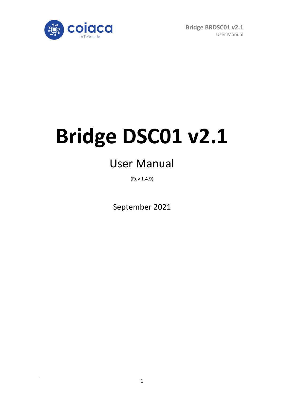

**Bridge BRDSC01 v2.1** User Manual

# **Bridge DSC01 v2.1**

# User Manual

(Rev 1.4.9)

September 2021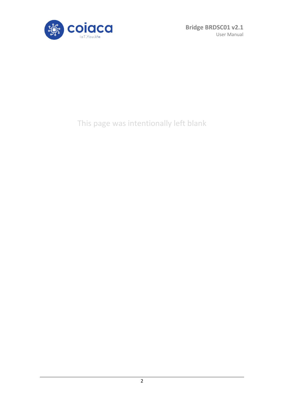

**Bridge BRDSC01 v2.1** User Manual

# This page was intentionally left blank

2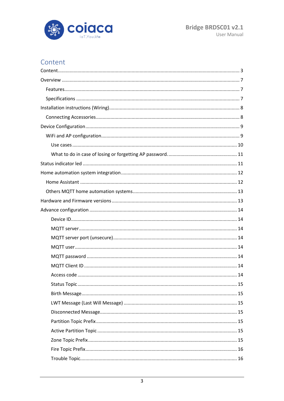

# <span id="page-2-0"></span>Content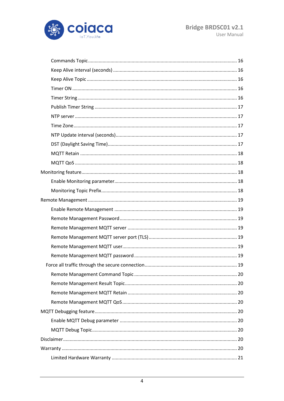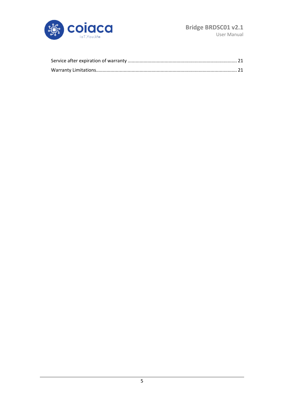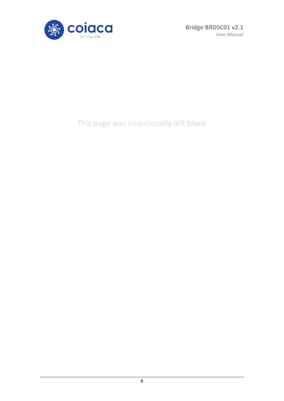

**Bridge BRDSC01 v2.1** User Manual

# This page was intentionally left blank

6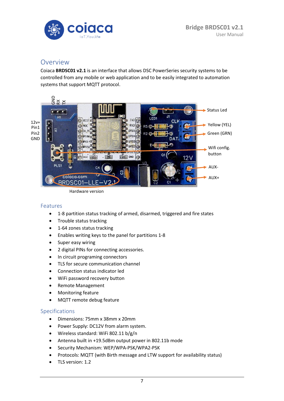

## <span id="page-6-0"></span>Overview

Coiaca **BRDSC01 v2.1** is an interface that allows DSC PowerSeries security systems to be controlled from any mobile or web application and to be easily integrated to automation systems that support MQTT protocol.



Hardware version

#### <span id="page-6-1"></span>Features

- 1-8 partition status tracking of armed, disarmed, triggered and fire states
- Trouble status tracking
- 1-64 zones status tracking
- Enables writing keys to the panel for partitions 1-8
- Super easy wiring
- 2 digital PINs for connecting accessories.
- In circuit programing connectors
- TLS for secure communication channel
- Connection status indicator led
- WiFi password recovery button
- Remote Management
- Monitoring feature
- MQTT remote debug feature

#### <span id="page-6-2"></span>Specifications

- Dimensions: 75mm x 38mm x 20mm
- Power Supply: DC12V from alarm system.
- Wireless standard: WiFi 802.11 b/g/n
- Antenna built in +19.5dBm output power in 802.11b mode
- Security Mechanism: WEP/WPA-PSK/WPA2-PSK
- Protocols: MQTT (with Birth message and LTW support for availability status)
- TLS version: 1.2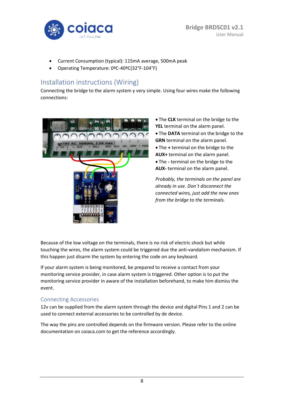

- Current Consumption (typical): 115mA average, 500mA peak
- Operating Temperature: 0ºC-40ºC(32°F-104°F)

# <span id="page-7-0"></span>Installation instructions (Wiring)

Connecting the bridge to the alarm system y very simple. Using four wires make the following connections:



- The **CLK** terminal on the bridge to the **YEL** terminal on the alarm panel.
- The **DATA** terminal on the bridge to the **GRN** terminal on the alarm panel.
- The **+** terminal on the bridge to the **AUX+** terminal on the alarm panel.
- The **-** terminal on the bridge to the **AUX-** terminal on the alarm panel.

*Probably, the terminals on the panel are already in use. Don´t disconnect the connected wires, just add the new ones from the bridge to the terminals.*

Because of the low voltage on the terminals, there is no risk of electric shock but while touching the wires, the alarm system could be triggered due the anti-vandalism mechanism. If this happen just disarm the system by entering the code on any keyboard.

If your alarm system is being monitored, be prepared to receive a contact from your monitoring service provider, in case alarm system is triggered. Other option is to put the monitoring service provider in aware of the installation beforehand, to make him dismiss the event.

#### <span id="page-7-1"></span>Connecting Accessories

12v can be supplied from the alarm system through the device and digital Pins 1 and 2 can be used to connect external accessories to be controlled by de device.

The way the pins are controlled depends on the firmware version. Please refer to the online documentation on coiaca.com to get the reference accordingly.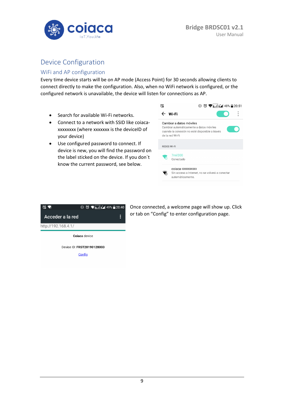

# <span id="page-8-0"></span>Device Configuration

#### <span id="page-8-1"></span>WiFi and AP configuration

Every time device starts will be on AP mode (Access Point) for 30 seconds allowing clients to connect directly to make the configuration. Also, when no WiFi network is configured, or the configured network is unavailable, the device will listen for connections as AP.

- Search for available Wi-Fi networks.
- Connect to a network with SSID like coiacaxxxxxxxx (where xxxxxxx is the deviceID of your device)
- Use configured password to connect. If device is new, you will find the password on the label sticked on the device. If you don´t know the current password, see below.

| <b>◎ ◎ ▼<u>n a</u></b> 48% 20:51<br>ጩ |                                                                                                                                         |  |  |
|---------------------------------------|-----------------------------------------------------------------------------------------------------------------------------------------|--|--|
|                                       | Wi-Fi                                                                                                                                   |  |  |
|                                       | Cambiar a datos móviles<br>Cambiar automáticamente a datos móviles<br>cuando la conexión no esté disponible a través<br>de la red Wi-Fi |  |  |
| <b>REDES WI-FI</b>                    |                                                                                                                                         |  |  |
| Ø                                     | 7mil300<br>Conectado                                                                                                                    |  |  |
|                                       | cojaca-XXXXXXXXXX<br>Sin acceso a Internet, no se volverá a conectar<br>automáticamente.                                                |  |  |



Once connected, a welcome page will show up. Click or tab on "Config" to enter configuration page.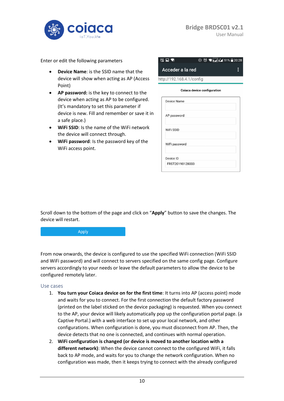

Enter or edit the following parameters

- **Device Name**: is the SSID name that the device will show when acting as AP (Access Point)
- **AP password:** is the key to connect to the device when acting as AP to be configured. (It's mandatory to set this parameter if device is new. Fill and remember or save it in a safe place.)
- **WiFi SSID**: Is the name of the WiFi network the device will connect through.
- **WiFi password**: Is the password key of the WiFi access point.

| $\circledcirc$   |  | <b>8 6 7 2 2 4 51% 20:28</b> |  |
|------------------|--|------------------------------|--|
| Acceder a la red |  |                              |  |

http://192.168.4.1/config

#### **Coiaca device configuration**

| <b>Device Name</b> |  |
|--------------------|--|
| AP password        |  |
| WiFi SSID          |  |
| WiFi password      |  |
| Device ID          |  |
| FRST20190128003    |  |

Scroll down to the bottom of the page and click on "**Apply**" button to save the changes. The device will restart.



From now onwards, the device is configured to use the specified WiFi connection (WiFi SSID and WiFi password) and will connect to servers specified on the same config page. Configure servers accordingly to your needs or leave the default parameters to allow the device to be configured remotely later.

#### <span id="page-9-0"></span>Use cases

- 1. **You turn your Coiaca device on for the first time**: It turns into AP (access point) mode and waits for you to connect. For the first connection the default factory password (printed on the label sticked on the device packaging) is requested. When you connect to the AP, your device will likely automatically pop up the configuration portal page. (a Captive Portal.) with a web interface to set up your local network, and other configurations. When configuration is done, you must disconnect from AP. Then, the device detects that no one is connected, and continues with normal operation.
- 2. **WiFi configuration is changed (or device is moved to another location with a different network)**: When the device cannot connect to the configured WiFi, it falls back to AP mode, and waits for you to change the network configuration. When no configuration was made, then it keeps trying to connect with the already configured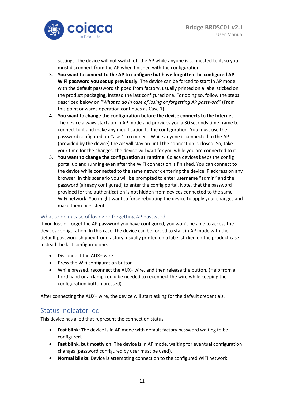

settings. The device will not switch off the AP while anyone is connected to it, so you must disconnect from the AP when finished with the configuration.

- 3. **You want to connect to the AP to configure but have forgotten the configured AP WiFi password you set up previously**: The device can be forced to start in AP mode with the default password shipped from factory, usually printed on a label sticked on the product packaging, instead the last configured one. For doing so, follow the steps described below on "*What to do in case of losing or forgetting AP password*" (From this point onwards operation continues as Case 1)
- 4. **You want to change the configuration before the device connects to the Internet**: The device always starts up in AP mode and provides you a 30 seconds time frame to connect to it and make any modification to the configuration. You must use the password configured on Case 1 to connect. While anyone is connected to the AP (provided by the device) the AP will stay on until the connection is closed. So, take your time for the changes, the device will wait for you while you are connected to it.
- 5. **You want to change the configuration at runtime**: Coiaca devices keeps the config portal up and running even after the WiFi connection is finished. You can connect to the device while connected to the same network entering the device IP address on any browser. In this scenario you will be prompted to enter username "admin" and the password (already configured) to enter the config portal. Note, that the password provided for the authentication is not hidden from devices connected to the same WiFi network. You might want to force rebooting the device to apply your changes and make them persistent.

#### <span id="page-10-0"></span>What to do in case of losing or forgetting AP password.

If you lose or forget the AP password you have configured, you won´t be able to access the devices configuration. In this case, the device can be forced to start in AP mode with the default password shipped from factory, usually printed on a label sticked on the product case, instead the last configured one.

- Disconnect the AUX+ wire
- Press the Wifi configuration button
- While pressed, reconnect the AUX+ wire, and then release the button. (Help from a third hand or a clamp could be needed to reconnect the wire while keeping the configuration button pressed)

After connecting the AUX+ wire, the device will start asking for the default credentials.

## <span id="page-10-1"></span>Status indicator led

This device has a led that represent the connection status.

- **Fast blink**: The device is in AP mode with default factory password waiting to be configured.
- **Fast blink, but mostly on**: The device is in AP mode, waiting for eventual configuration changes (password configured by user must be used).
- **Normal blinks**: Device is attempting connection to the configured WiFi network.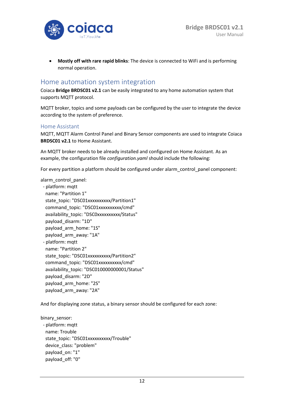

• **Mostly off with rare rapid blinks**: The device is connected to WiFi and is performing normal operation.

## <span id="page-11-0"></span>Home automation system integration

Coiaca **Bridge BRDSC01 v2.1** can be easily integrated to any home automation system that supports MQTT protocol.

MQTT broker, topics and some payloads can be configured by the user to integrate the device according to the system of preference.

#### <span id="page-11-1"></span>Home Assistant

MQTT, MQTT Alarm Control Panel and Binary Sensor components are used to integrate Coiaca **BRDSC01 v2.1** to Home Assistant.

An MQTT broker needs to be already installed and configured on Home Assistant. As an example, the configuration file *configuration.yaml* should include the following:

For every partition a platform should be configured under alarm\_control\_panel component:

alarm\_control\_panel:

```
 - platform: mqtt
  name: "Partition 1"
 state_topic: "DSC01xxxxxxxxxx/Partition1"
command_topic: "DSC01xxxxxxxxxx/cmd"
 availability_topic: "DSC0xxxxxxxxxx/Status"
  payload_disarm: "1D"
  payload_arm_home: "1S"
  payload_arm_away: "1A"
 - platform: mqtt
  name: "Partition 2"
state_topic: "DSC01xxxxxxxxxx/Partition2"
 command_topic: "DSC01xxxxxxxxxx/cmd"
  availability_topic: "DSC010000000001/Status"
  payload_disarm: "2D"
  payload_arm_home: "2S"
  payload_arm_away: "2A"
```
And for displaying zone status, a binary sensor should be configured for each zone:

binary\_sensor: - platform: mqtt name: Trouble state\_topic: "DSC01xxxxxxxxxx/Trouble" device\_class: "problem" payload\_on: "1" payload\_off: "0"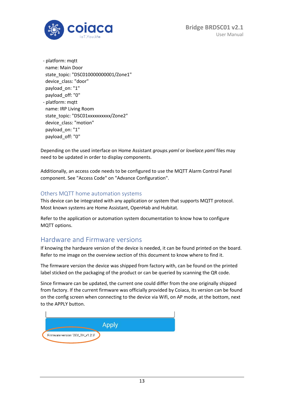

 - platform: mqtt name: Main Door state\_topic: "DSC010000000001/Zone1" device\_class: "door" payload\_on: "1" payload\_off: "0" - platform: mqtt name: IRP Living Room state\_topic: "DSC01xxxxxxxxxx/Zone2" device\_class: "motion" payload\_on: "1" payload\_off: "0"

Depending on the used interface on Home Assistant *groups.yaml* or *lovelace.yaml* files may need to be updated in order to display components.

Additionally, an access code needs to be configured to use the MQTT Alarm Control Panel component. See "Access Code" on "Advance Configuration".

#### <span id="page-12-0"></span>Others MQTT home automation systems

This device can be integrated with any application or system that supports MQTT protocol. Most known systems are Home Assistant, OpenHab and Hubitat.

Refer to the application or automation system documentation to know how to configure MQTT options.

# <span id="page-12-1"></span>Hardware and Firmware versions

If knowing the hardware version of the device is needed, it can be found printed on the board. Refer to me image on the overview section of this document to know where to find it.

The firmware version the device was shipped from factory with, can be found on the printed label sticked on the packaging of the product or can be queried by scanning the QR code.

Since firmware can be updated, the current one could differ from the one originally shipped from factory. If the current firmware was officially provided by Coiaca, its version can be found on the config screen when connecting to the device via Wifi, on AP mode, at the bottom, next to the APPLY button.

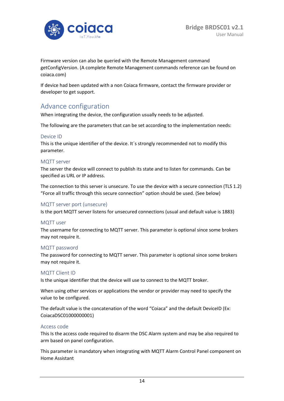

Firmware version can also be queried with the Remote Management command getConfigVersion. (A complete Remote Management commands reference can be found on coiaca.com)

If device had been updated with a non Coiaca firmware, contact the firmware provider or developer to get support.

# <span id="page-13-0"></span>Advance configuration

When integrating the device, the configuration usually needs to be adjusted.

The following are the parameters that can be set according to the implementation needs:

#### <span id="page-13-1"></span>Device ID

This is the unique identifier of the device. It´s strongly recommended not to modify this parameter.

#### <span id="page-13-2"></span>MQTT server

The server the device will connect to publish its state and to listen for commands. Can be specified as URL or IP address.

The connection to this server is unsecure. To use the device with a secure connection (TLS 1.2) "Force all traffic through this secure connection" option should be used. (See below)

#### <span id="page-13-3"></span>MQTT server port (unsecure)

Is the port MQTT server listens for unsecured connections (usual and default value is 1883)

#### <span id="page-13-4"></span>MQTT user

The username for connecting to MQTT server. This parameter is optional since some brokers may not require it.

#### <span id="page-13-5"></span>MQTT password

The password for connecting to MQTT server. This parameter is optional since some brokers may not require it.

#### <span id="page-13-6"></span>MQTT Client ID

Is the unique identifier that the device will use to connect to the MQTT broker.

When using other services or applications the vendor or provider may need to specify the value to be configured.

The default value is the concatenation of the word "Coiaca" and the default DeviceID (Ex: CoiacaDSC01000000001)

#### <span id="page-13-7"></span>Access code

This Is the access code required to disarm the DSC Alarm system and may be also required to arm based on panel configuration.

This parameter is mandatory when integrating with MQTT Alarm Control Panel component on Home Assistant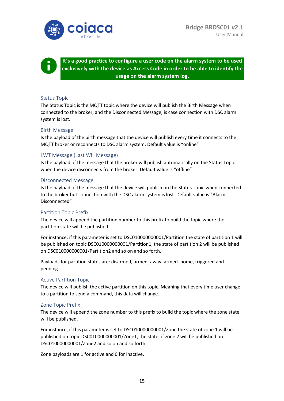



**It´s a good practice to configure a user code on the alarm system to be used exclusively with the device as Access Code in order to be able to identify the usage on the alarm system log.**

#### <span id="page-14-0"></span>Status Topic

The Status Topic is the MQTT topic where the device will publish the Birth Message when connected to the broker, and the Disconnected Message, is case connection with DSC alarm system is lost.

#### <span id="page-14-1"></span>Birth Message

Is the payload of the birth message that the device will publish every time it connects to the MQTT broker or reconnects to DSC alarm system. Default value is "online"

#### <span id="page-14-2"></span>LWT Message (Last Will Message)

Is the payload of the message that the broker will publish automatically on the Status Topic when the device disconnects from the broker. Default value is "offline"

#### <span id="page-14-3"></span>Disconnected Message

Is the payload of the message that the device will publish on the Status Topic when connected to the broker but connection with the DSC alarm system is lost. Default value is "Alarm Disconnected"

#### <span id="page-14-4"></span>Partition Topic Prefix

The device will append the partition number to this prefix to build the topic where the partition state will be published.

For instance, if this parameter is set to DSC010000000001/Partition the state of partition 1 will be published on topic DSC010000000001/Partition1, the state of partition 2 will be published on DSC010000000001/Partition2 and so on and so forth.

Payloads for partition states are: disarmed, armed away, armed home, triggered and pending.

#### <span id="page-14-5"></span>Active Partition Topic

The device will publish the active partition on this topic. Meaning that every time user change to a partition to send a command, this data will change.

#### <span id="page-14-6"></span>Zone Topic Prefix

The device will append the zone number to this prefix to build the topic where the zone state will be published.

For instance, if this parameter is set to DSC010000000001/Zone the state of zone 1 will be published on topic DSC010000000001/Zone1, the state of zone 2 will be published on DSC010000000001/Zone2 and so on and so forth.

Zone payloads are 1 for active and 0 for inactive.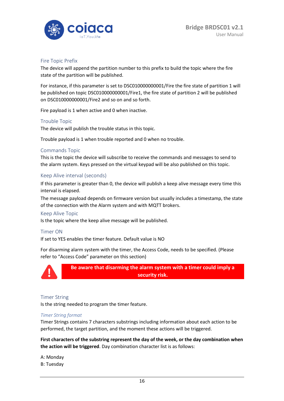

#### <span id="page-15-0"></span>Fire Topic Prefix

The device will append the partition number to this prefix to build the topic where the fire state of the partition will be published.

For instance, if this parameter is set to DSC010000000001/Fire the fire state of partition 1 will be published on topic DSC010000000001/Fire1, the fire state of partition 2 will be published on DSC010000000001/Fire2 and so on and so forth.

Fire payload is 1 when active and 0 when inactive.

#### <span id="page-15-1"></span>Trouble Topic

The device will publish the trouble status in this topic.

Trouble payload is 1 when trouble reported and 0 when no trouble.

#### <span id="page-15-2"></span>Commands Topic

This is the topic the device will subscribe to receive the commands and messages to send to the alarm system. Keys pressed on the virtual keypad will be also published on this topic.

#### <span id="page-15-3"></span>Keep Alive interval (seconds)

If this parameter is greater than 0, the device will publish a keep alive message every time this interval is elapsed.

The message payload depends on firmware version but usually includes a timestamp, the state of the connection with the Alarm system and with MQTT brokers.

#### <span id="page-15-4"></span>Keep Alive Topic

Is the topic where the keep alive message will be published.

#### <span id="page-15-5"></span>Timer ON

If set to YES enables the timer feature. Default value is NO

For disarming alarm system with the timer, the Access Code, needs to be specified. (Please refer to "Access Code" parameter on this section)



**Be aware that disarming the alarm system with a timer could imply a security risk.**

#### <span id="page-15-6"></span>Timer String

Is the string needed to program the timer feature.

#### *Timer String format*

Timer Strings contains 7 characters substrings including information about each action to be performed, the target partition, and the moment these actions will be triggered.

**First characters of the substring represent the day of the week, or the day combination when the action will be triggered**. Day combination character list is as follows:

A: Monday B: Tuesday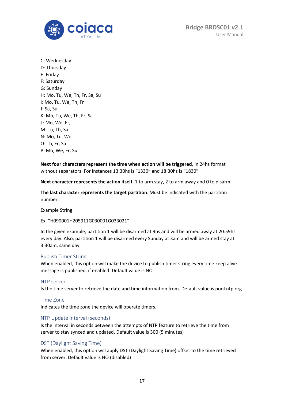

C: Wednesday D: Thursday E: Friday F: Saturday G: Sunday H: Mo, Tu, We, Th, Fr, Sa, Su I: Mo, Tu, We, Th, Fr J: Sa, Su K: Mo, Tu, We, Th, Fr, Sa L: Mo, We, Fr, M: Tu, Th, Sa N: Mo, Tu, We O: Th, Fr, Sa P: Mo, We, Fr, Su

**Next four characters represent the time when action will be triggered**, in 24hs format without separators. For instances 13:30hs is "1330" and 18:30hs is "1830"

**Next character represents the action itself**: 1 to arm stay, 2 to arm away and 0 to disarm.

**The last character represents the target partition**. Must be indicated with the partition number.

Example String:

Ex. "H090001H205911G030001G033021"

In the given example, partition 1 will be disarmed at 9hs and will be armed away at 20:59hs every day. Also, partition 1 will be disarmed every Sunday at 3am and will be armed stay at 3:30am, same day.

#### <span id="page-16-0"></span>Publish Timer String

When enabled, this option will make the device to publish timer string every time keep alive message is published, if enabled. Default value is NO

#### <span id="page-16-1"></span>NTP server

Is the time server to retrieve the date and time information from. Default value is pool.ntp.org

#### <span id="page-16-2"></span>Time Zone

Indicates the time zone the device will operate timers.

#### <span id="page-16-3"></span>NTP Update interval (seconds)

Is the interval in seconds between the attempts of NTP feature to retrieve the time from server to stay synced and updated. Default value is 300 (5 minutes)

#### <span id="page-16-4"></span>DST (Daylight Saving Time)

When enabled, this option will apply DST (Daylight Saving Time) offset to the time retrieved from server. Default value is NO (disabled)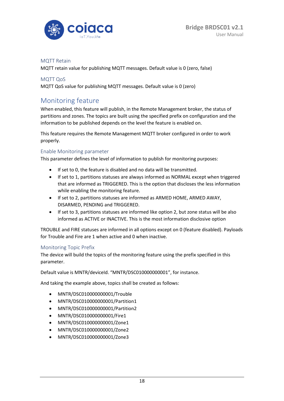

#### <span id="page-17-0"></span>MQTT Retain

MQTT retain value for publishing MQTT messages. Default value is 0 (zero, false)

#### <span id="page-17-1"></span>MQTT QoS

MQTT QoS value for publishing MQTT messages. Default value is 0 (zero)

# <span id="page-17-2"></span>Monitoring feature

When enabled, this feature will publish, in the Remote Management broker, the status of partitions and zones. The topics are built using the specified prefix on configuration and the information to be published depends on the level the feature is enabled on.

This feature requires the Remote Management MQTT broker configured in order to work properly.

#### <span id="page-17-3"></span>Enable Monitoring parameter

This parameter defines the level of information to publish for monitoring purposes:

- If set to 0, the feature is disabled and no data will be transmitted.
- If set to 1, partitions statuses are always informed as NORMAL except when triggered that are informed as TRIGGERED. This is the option that discloses the less information while enabling the monitoring feature.
- If set to 2, partitions statuses are informed as ARMED HOME, ARMED AWAY, DISARMED, PENDING and TRIGGERED.
- If set to 3, partitions statuses are informed like option 2, but zone status will be also informed as ACTIVE or INACTIVE. This is the most information disclosive option

TROUBLE and FIRE statuses are informed in all options except on 0 (feature disabled). Payloads for Trouble and Fire are 1 when active and 0 when inactive.

#### <span id="page-17-4"></span>Monitoring Topic Prefix

The device will build the topics of the monitoring feature using the prefix specified in this parameter.

Default value is MNTR/deviceId. "MNTR/DSC010000000001", for instance.

And taking the example above, topics shall be created as follows:

- MNTR/DSC010000000001/Trouble
- MNTR/DSC010000000001/Partition1
- MNTR/DSC010000000001/Partition2
- MNTR/DSC010000000001/Fire1
- MNTR/DSC010000000001/Zone1
- MNTR/DSC010000000001/Zone2
- MNTR/DSC010000000001/Zone3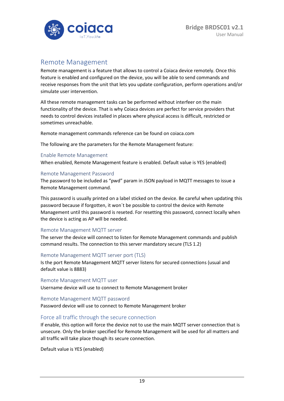

# <span id="page-18-0"></span>Remote Management

Remote management is a feature that allows to control a Coiaca device remotely. Once this feature is enabled and configured on the device, you will be able to send commands and receive responses from the unit that lets you update configuration, perform operations and/or simulate user intervention.

All these remote management tasks can be performed without interfeer on the main functionality of the device. That is why Coiaca devices are perfect for service providers that needs to control devices installed in places where physical access is difficult, restricted or sometimes unreachable.

Remote management commands reference can be found on coiaca.com

The following are the parameters for the Remote Management feature:

#### <span id="page-18-1"></span>Enable Remote Management

When enabled, Remote Management feature is enabled. Default value is YES (enabled)

#### <span id="page-18-2"></span>Remote Management Password

The password to be included as "pwd" param in JSON payload in MQTT messages to issue a Remote Management command.

This password is usually printed on a label sticked on the device. Be careful when updating this password because if forgotten, it won´t be possible to control the device with Remote Management until this password is reseted. For resetting this password, connect locally when the device is acting as AP will be needed.

#### <span id="page-18-3"></span>Remote Management MQTT server

The server the device will connect to listen for Remote Management commands and publish command results. The connection to this server mandatory secure (TLS 1.2)

#### <span id="page-18-4"></span>Remote Management MQTT server port (TLS)

Is the port Remote Management MQTT server listens for secured connections (usual and default value is 8883)

<span id="page-18-5"></span>Remote Management MQTT user Username device will use to connect to Remote Management broker

#### <span id="page-18-6"></span>Remote Management MQTT password

Password device will use to connect to Remote Management broker

#### <span id="page-18-7"></span>Force all traffic through the secure connection

If enable, this option will force the device not to use the main MQTT server connection that is unsecure. Only the broker specified for Remote Management will be used for all matters and all traffic will take place though its secure connection.

Default value is YES (enabled)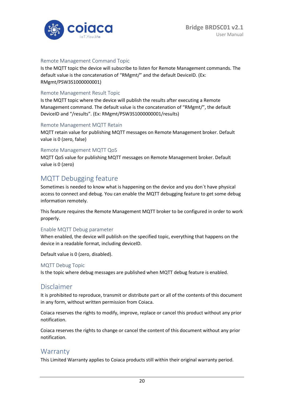

#### <span id="page-19-0"></span>Remote Management Command Topic

Is the MQTT topic the device will subscribe to listen for Remote Management commands. The default value is the concatenation of "RMgmt/" and the default DeviceID. (Ex: RMgmt/PSW3S1000000001)

#### <span id="page-19-1"></span>Remote Management Result Topic

Is the MQTT topic where the device will publish the results after executing a Remote Management command. The default value is the concatenation of "RMgmt/", the default DeviceID and "/results". (Ex: RMgmt/PSW3S1000000001/results)

#### <span id="page-19-2"></span>Remote Management MQTT Retain

MQTT retain value for publishing MQTT messages on Remote Management broker. Default value is 0 (zero, false)

#### <span id="page-19-3"></span>Remote Management MQTT QoS

MQTT QoS value for publishing MQTT messages on Remote Management broker. Default value is 0 (zero)

# <span id="page-19-4"></span>MQTT Debugging feature

Sometimes is needed to know what is happening on the device and you don´t have physical access to connect and debug. You can enable the MQTT debugging feature to get some debug information remotely.

This feature requires the Remote Management MQTT broker to be configured in order to work properly.

#### <span id="page-19-5"></span>Enable MQTT Debug parameter

When enabled, the device will publish on the specified topic, everything that happens on the device in a readable format, including deviceID.

Default value is 0 (zero, disabled).

#### <span id="page-19-6"></span>MQTT Debug Topic

Is the topic where debug messages are published when MQTT debug feature is enabled.

## <span id="page-19-7"></span>Disclaimer

It is prohibited to reproduce, transmit or distribute part or all of the contents of this document in any form, without written permission from Coiaca.

Coiaca reserves the rights to modify, improve, replace or cancel this product without any prior notification.

Coiaca reserves the rights to change or cancel the content of this document without any prior notification.

#### <span id="page-19-8"></span>**Warranty**

This Limited Warranty applies to Coiaca products still within their original warranty period.